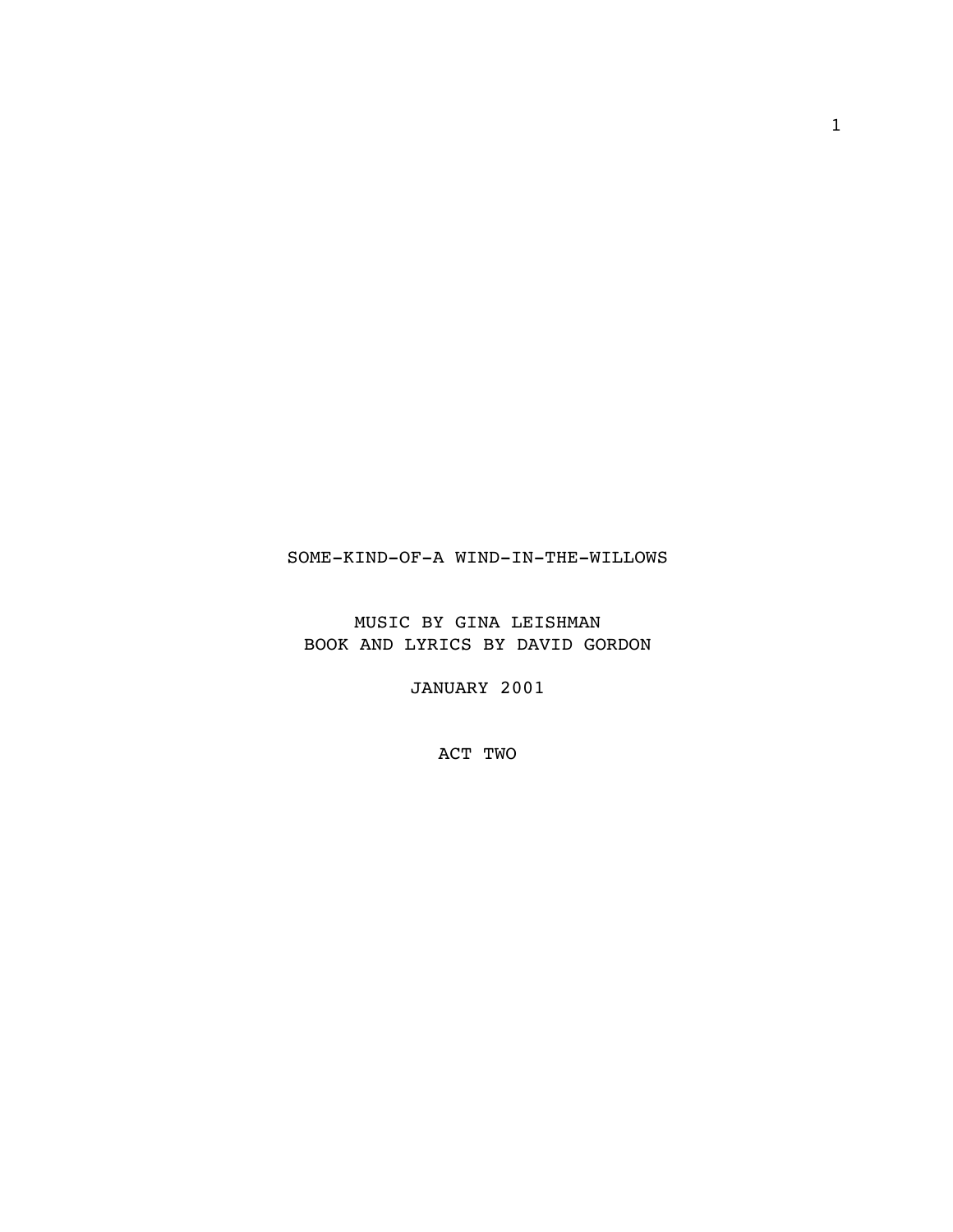## SOME-KIND-OF-A WIND-IN-THE-WILLOWS

MUSIC BY GINA LEISHMAN BOOK AND LYRICS BY DAVID GORDON

JANUARY 2001

ACT TWO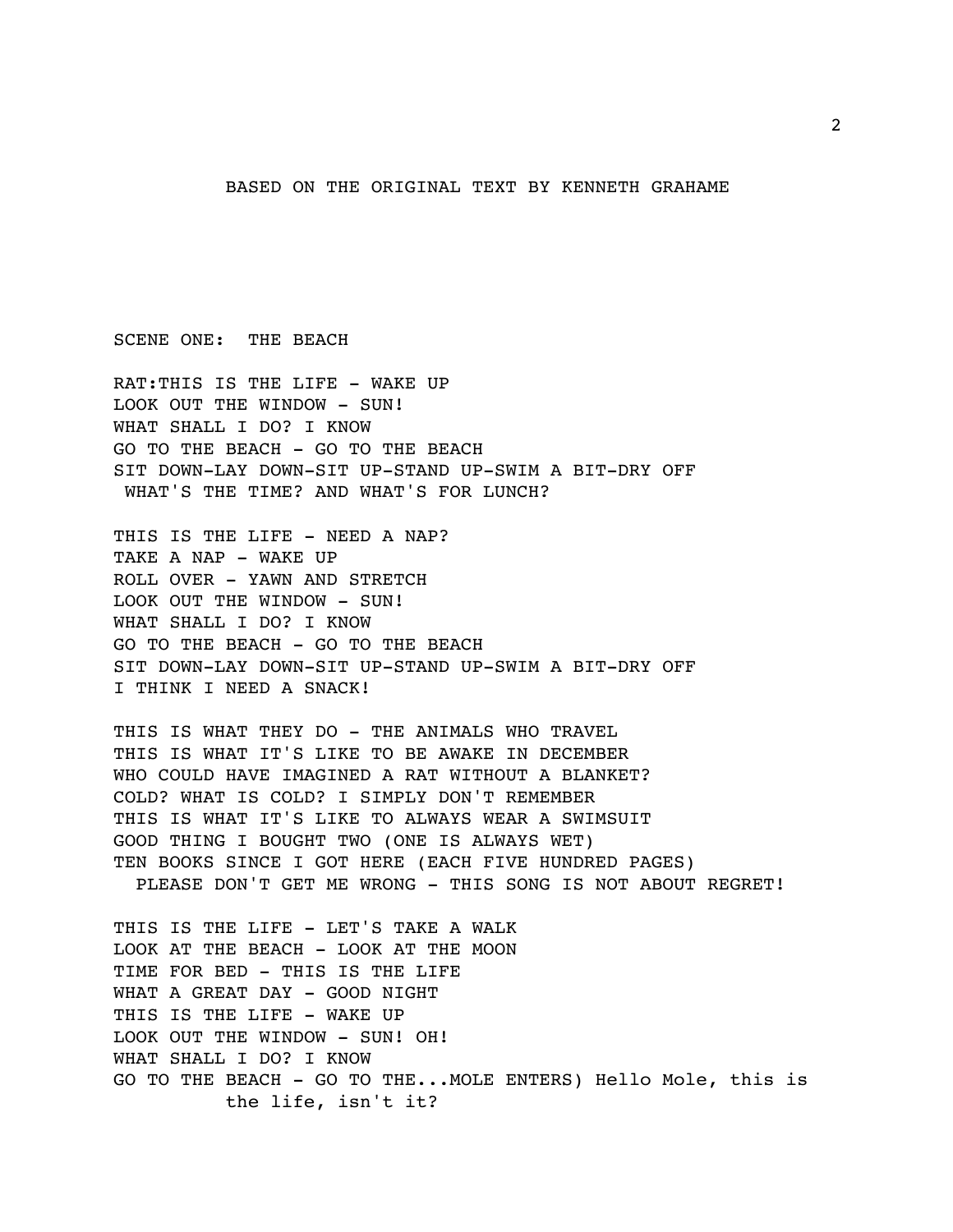BASED ON THE ORIGINAL TEXT BY KENNETH GRAHAME

SCENE ONE: THE BEACH

RAT:THIS IS THE LIFE - WAKE UP LOOK OUT THE WINDOW - SUN! WHAT SHALL I DO? I KNOW GO TO THE BEACH - GO TO THE BEACH SIT DOWN-LAY DOWN-SIT UP-STAND UP-SWIM A BIT-DRY OFF WHAT'S THE TIME? AND WHAT'S FOR LUNCH?

THIS IS THE LIFE - NEED A NAP? TAKE A NAP - WAKE UP ROLL OVER - YAWN AND STRETCH LOOK OUT THE WINDOW - SUN! WHAT SHALL I DO? I KNOW GO TO THE BEACH - GO TO THE BEACH SIT DOWN-LAY DOWN-SIT UP-STAND UP-SWIM A BIT-DRY OFF I THINK I NEED A SNACK!

THIS IS WHAT THEY DO - THE ANIMALS WHO TRAVEL THIS IS WHAT IT'S LIKE TO BE AWAKE IN DECEMBER WHO COULD HAVE IMAGINED A RAT WITHOUT A BLANKET? COLD? WHAT IS COLD? I SIMPLY DON'T REMEMBER THIS IS WHAT IT'S LIKE TO ALWAYS WEAR A SWIMSUIT GOOD THING I BOUGHT TWO (ONE IS ALWAYS WET) TEN BOOKS SINCE I GOT HERE (EACH FIVE HUNDRED PAGES) PLEASE DON'T GET ME WRONG - THIS SONG IS NOT ABOUT REGRET!

THIS IS THE LIFE - LET'S TAKE A WALK LOOK AT THE BEACH - LOOK AT THE MOON TIME FOR BED - THIS IS THE LIFE WHAT A GREAT DAY - GOOD NIGHT THIS IS THE LIFE - WAKE UP LOOK OUT THE WINDOW - SUN! OH! WHAT SHALL I DO? I KNOW GO TO THE BEACH - GO TO THE...MOLE ENTERS) Hello Mole, this is the life, isn't it?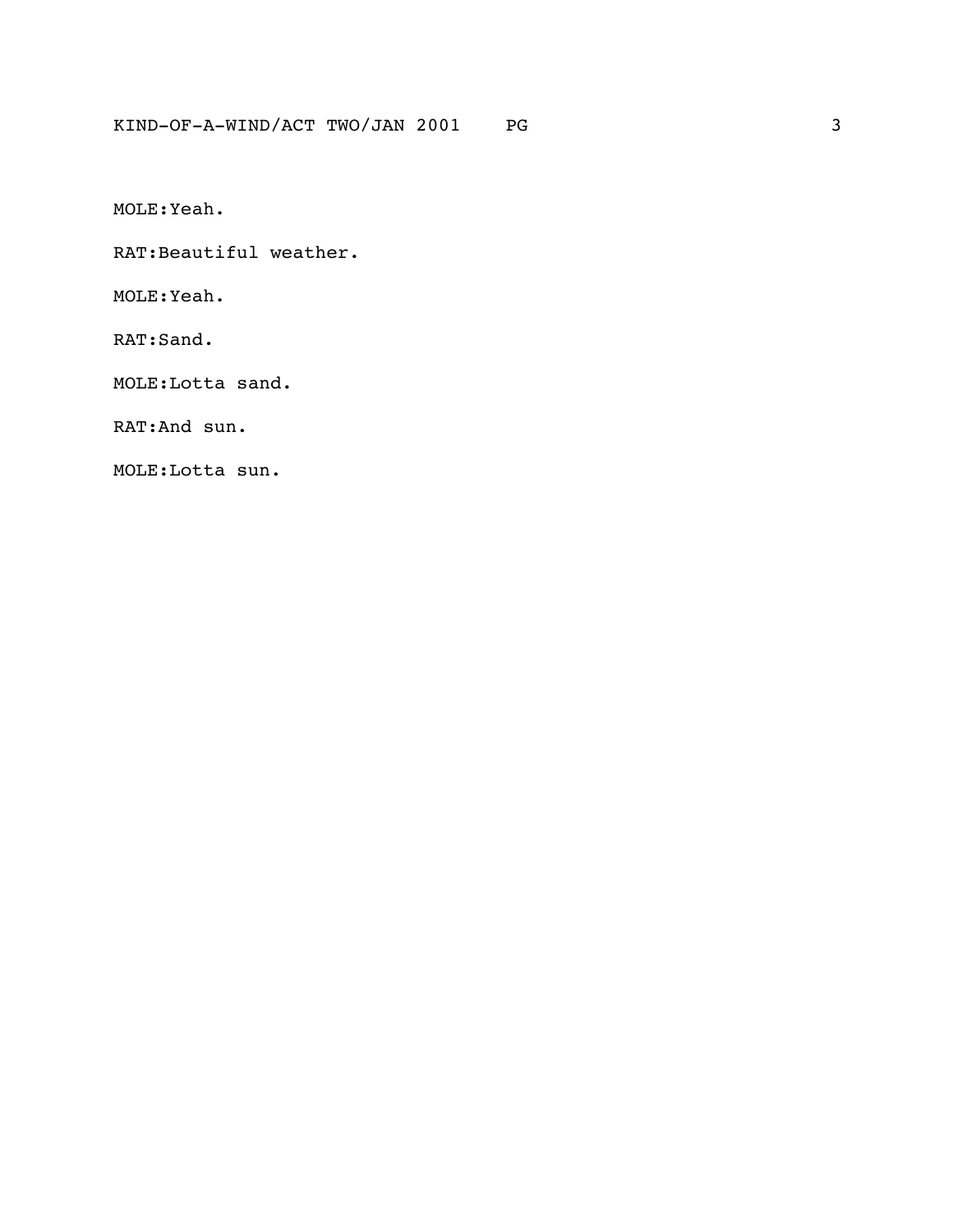MOLE:Yeah.

RAT:Beautiful weather.

MOLE:Yeah.

RAT:Sand.

MOLE:Lotta sand.

RAT:And sun.

MOLE:Lotta sun.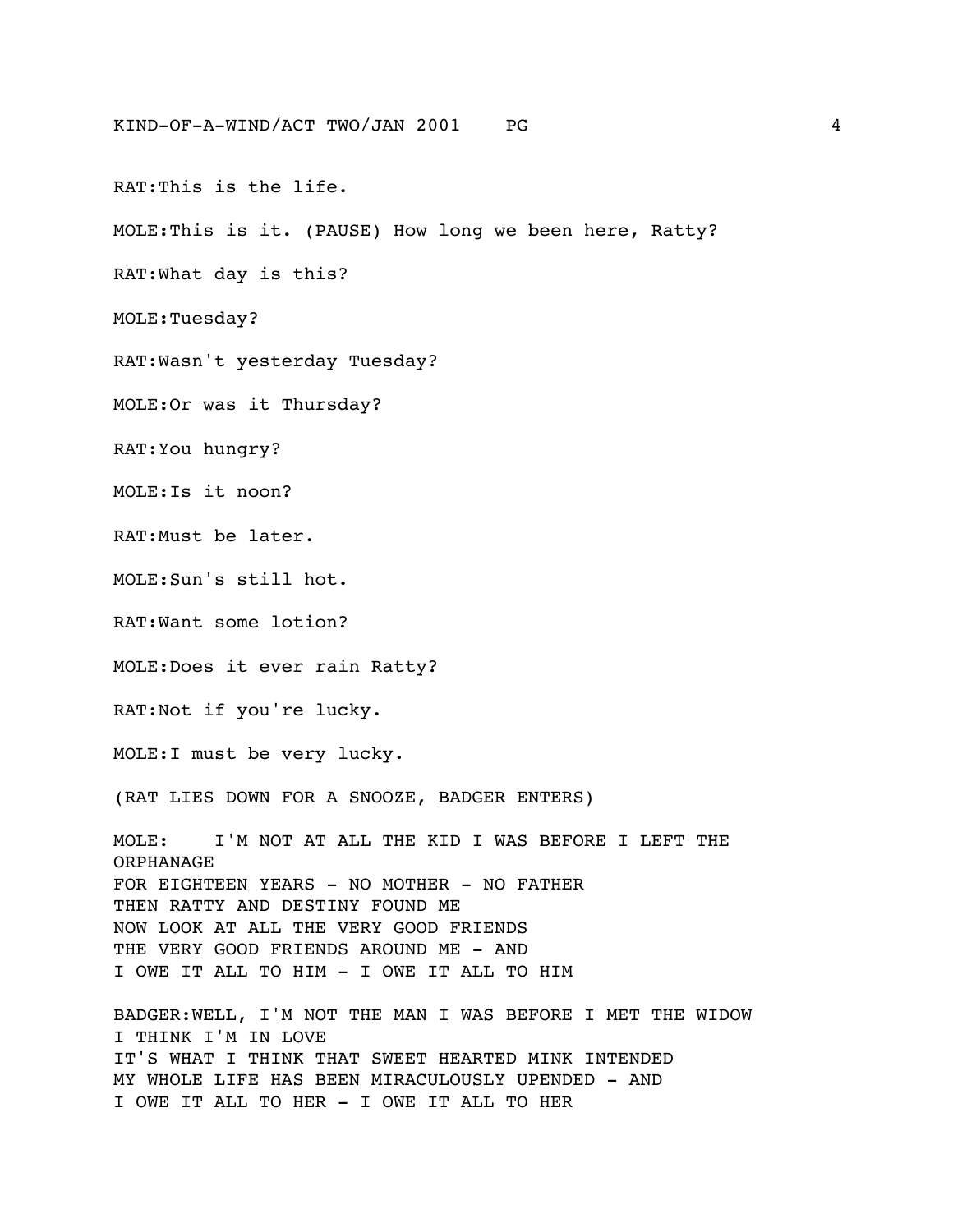RAT:This is the life.

MOLE:This is it. (PAUSE) How long we been here, Ratty?

RAT:What day is this?

MOLE:Tuesday?

RAT:Wasn't yesterday Tuesday?

MOLE:Or was it Thursday?

RAT:You hungry?

MOLE:Is it noon?

RAT:Must be later.

MOLE:Sun's still hot.

RAT:Want some lotion?

MOLE:Does it ever rain Ratty?

RAT:Not if you're lucky.

MOLE:I must be very lucky.

(RAT LIES DOWN FOR A SNOOZE, BADGER ENTERS)

MOLE: I'M NOT AT ALL THE KID I WAS BEFORE I LEFT THE ORPHANAGE FOR EIGHTEEN YEARS - NO MOTHER - NO FATHER THEN RATTY AND DESTINY FOUND ME NOW LOOK AT ALL THE VERY GOOD FRIENDS THE VERY GOOD FRIENDS AROUND ME - AND I OWE IT ALL TO HIM - I OWE IT ALL TO HIM

BADGER:WELL, I'M NOT THE MAN I WAS BEFORE I MET THE WIDOW I THINK I'M IN LOVE IT'S WHAT I THINK THAT SWEET HEARTED MINK INTENDED MY WHOLE LIFE HAS BEEN MIRACULOUSLY UPENDED - AND I OWE IT ALL TO HER - I OWE IT ALL TO HER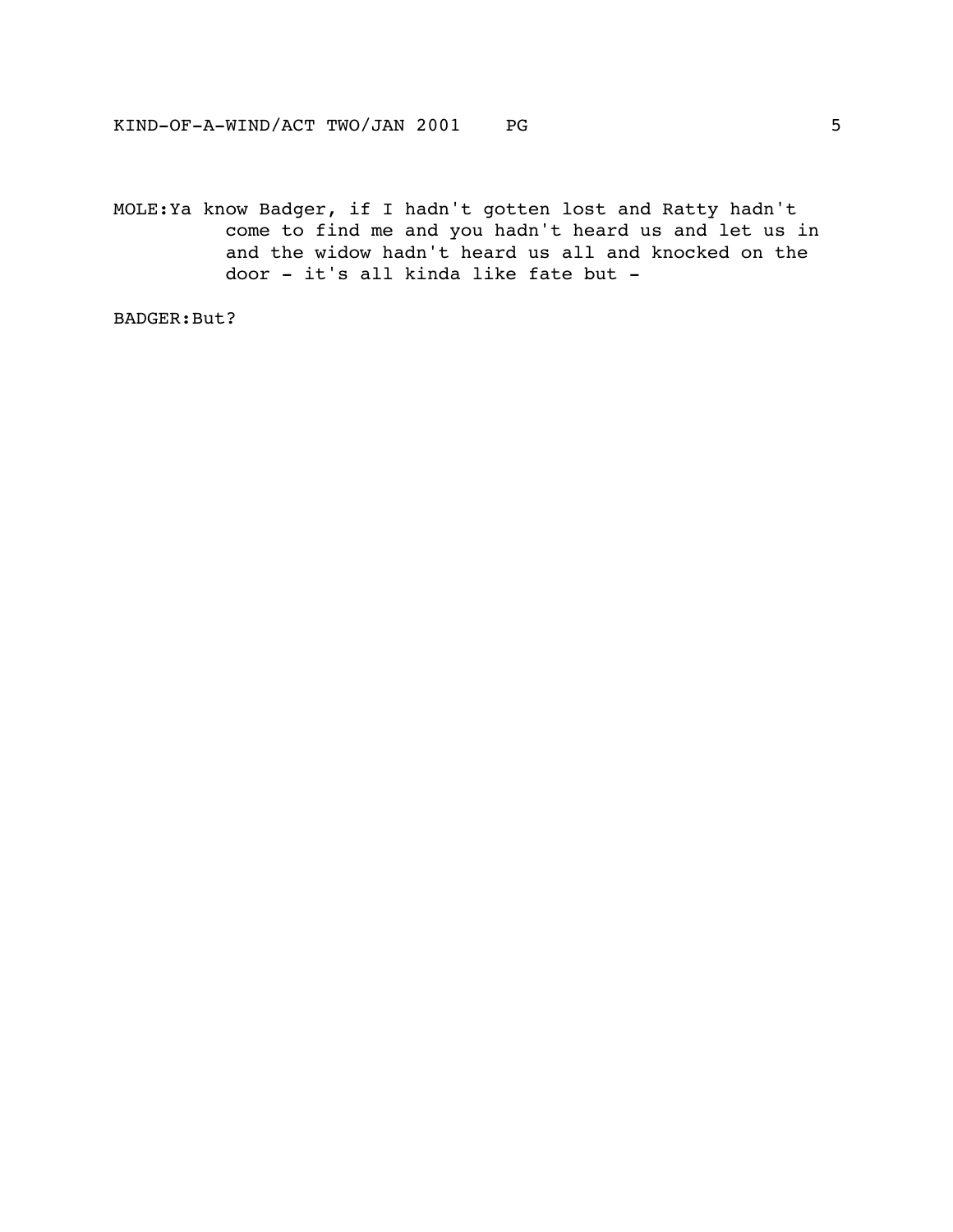MOLE:Ya know Badger, if I hadn't gotten lost and Ratty hadn't come to find me and you hadn't heard us and let us in and the widow hadn't heard us all and knocked on the door - it's all kinda like fate but -

BADGER:But?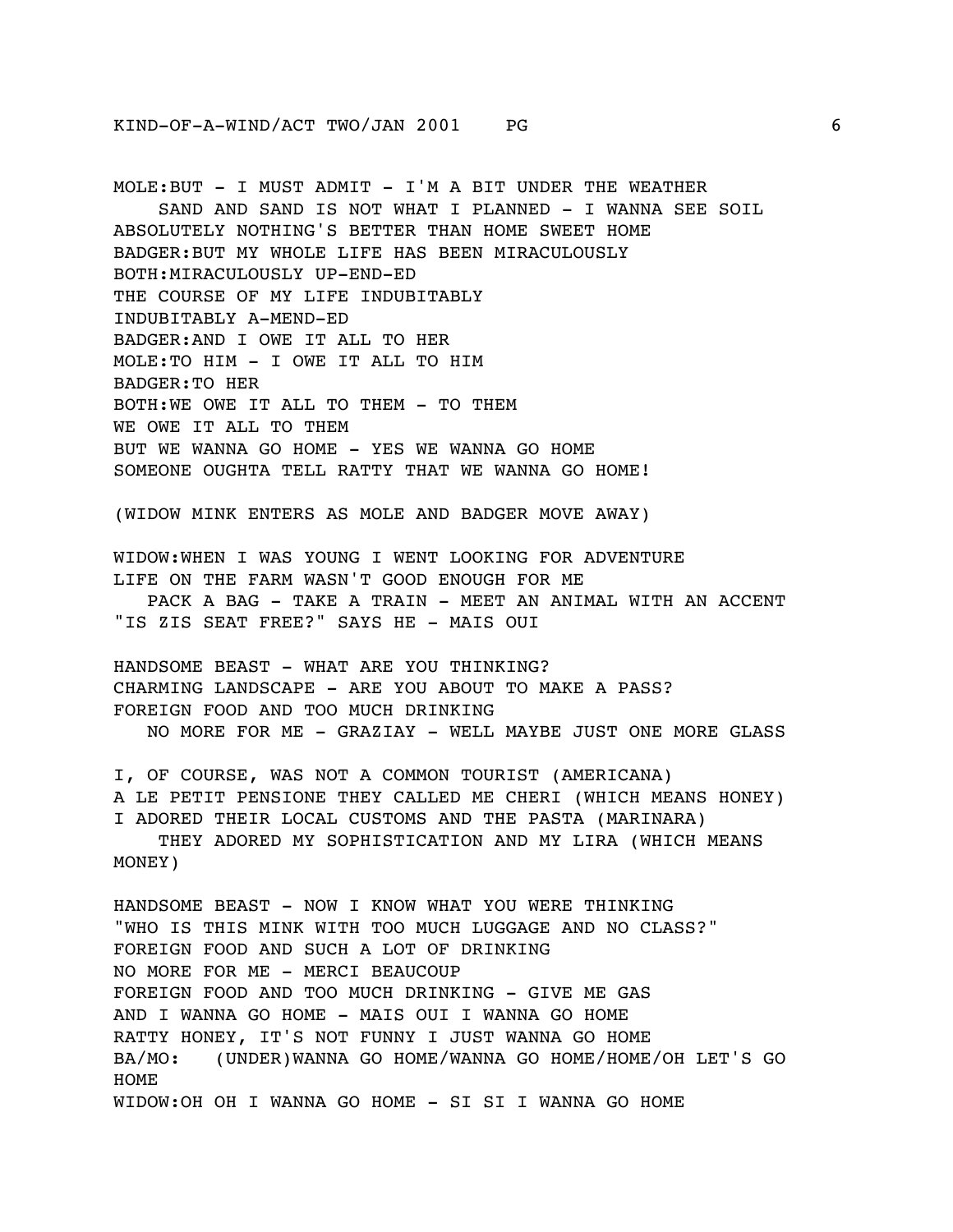MOLE:BUT - I MUST ADMIT - I'M A BIT UNDER THE WEATHER SAND AND SAND IS NOT WHAT I PLANNED - I WANNA SEE SOIL ABSOLUTELY NOTHING'S BETTER THAN HOME SWEET HOME BADGER:BUT MY WHOLE LIFE HAS BEEN MIRACULOUSLY BOTH:MIRACULOUSLY UP-END-ED THE COURSE OF MY LIFE INDUBITABLY INDUBITABLY A-MEND-ED BADGER:AND I OWE IT ALL TO HER MOLE:TO HIM - I OWE IT ALL TO HIM BADGER:TO HER BOTH:WE OWE IT ALL TO THEM - TO THEM WE OWE IT ALL TO THEM BUT WE WANNA GO HOME - YES WE WANNA GO HOME SOMEONE OUGHTA TELL RATTY THAT WE WANNA GO HOME! (WIDOW MINK ENTERS AS MOLE AND BADGER MOVE AWAY) WIDOW:WHEN I WAS YOUNG I WENT LOOKING FOR ADVENTURE LIFE ON THE FARM WASN'T GOOD ENOUGH FOR ME PACK A BAG - TAKE A TRAIN - MEET AN ANIMAL WITH AN ACCENT "IS ZIS SEAT FREE?" SAYS HE - MAIS OUI HANDSOME BEAST - WHAT ARE YOU THINKING? CHARMING LANDSCAPE - ARE YOU ABOUT TO MAKE A PASS? FOREIGN FOOD AND TOO MUCH DRINKING NO MORE FOR ME - GRAZIAY - WELL MAYBE JUST ONE MORE GLASS I, OF COURSE, WAS NOT A COMMON TOURIST (AMERICANA) A LE PETIT PENSIONE THEY CALLED ME CHERI (WHICH MEANS HONEY) I ADORED THEIR LOCAL CUSTOMS AND THE PASTA (MARINARA) THEY ADORED MY SOPHISTICATION AND MY LIRA (WHICH MEANS MONEY) HANDSOME BEAST - NOW I KNOW WHAT YOU WERE THINKING "WHO IS THIS MINK WITH TOO MUCH LUGGAGE AND NO CLASS?" FOREIGN FOOD AND SUCH A LOT OF DRINKING NO MORE FOR ME - MERCI BEAUCOUP FOREIGN FOOD AND TOO MUCH DRINKING - GIVE ME GAS AND I WANNA GO HOME - MAIS OUI I WANNA GO HOME RATTY HONEY, IT'S NOT FUNNY I JUST WANNA GO HOME BA/MO: (UNDER)WANNA GO HOME/WANNA GO HOME/HOME/OH LET'S GO HOME WIDOW:OH OH I WANNA GO HOME - SI SI I WANNA GO HOME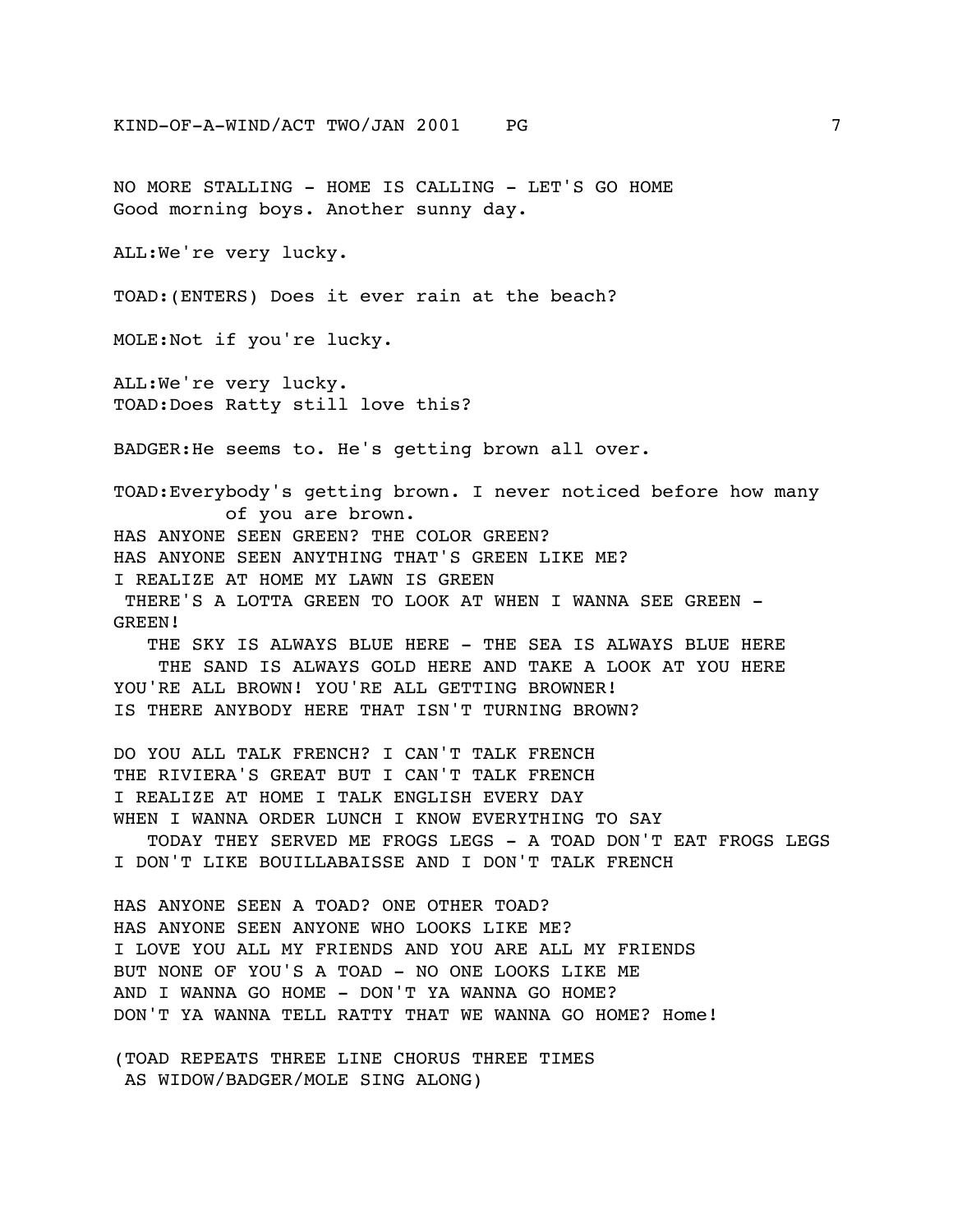NO MORE STALLING - HOME IS CALLING - LET'S GO HOME Good morning boys. Another sunny day. ALL:We're very lucky. TOAD:(ENTERS) Does it ever rain at the beach? MOLE:Not if you're lucky. ALL:We're very lucky. TOAD:Does Ratty still love this? BADGER:He seems to. He's getting brown all over. TOAD:Everybody's getting brown. I never noticed before how many of you are brown. HAS ANYONE SEEN GREEN? THE COLOR GREEN? HAS ANYONE SEEN ANYTHING THAT'S GREEN LIKE ME? I REALIZE AT HOME MY LAWN IS GREEN THERE'S A LOTTA GREEN TO LOOK AT WHEN I WANNA SEE GREEN - GREEN! THE SKY IS ALWAYS BLUE HERE - THE SEA IS ALWAYS BLUE HERE THE SAND IS ALWAYS GOLD HERE AND TAKE A LOOK AT YOU HERE YOU'RE ALL BROWN! YOU'RE ALL GETTING BROWNER! IS THERE ANYBODY HERE THAT ISN'T TURNING BROWN? DO YOU ALL TALK FRENCH? I CAN'T TALK FRENCH THE RIVIERA'S GREAT BUT I CAN'T TALK FRENCH I REALIZE AT HOME I TALK ENGLISH EVERY DAY WHEN I WANNA ORDER LUNCH I KNOW EVERYTHING TO SAY TODAY THEY SERVED ME FROGS LEGS - A TOAD DON'T EAT FROGS LEGS I DON'T LIKE BOUILLABAISSE AND I DON'T TALK FRENCH HAS ANYONE SEEN A TOAD? ONE OTHER TOAD? HAS ANYONE SEEN ANYONE WHO LOOKS LIKE ME? I LOVE YOU ALL MY FRIENDS AND YOU ARE ALL MY FRIENDS BUT NONE OF YOU'S A TOAD - NO ONE LOOKS LIKE ME AND I WANNA GO HOME - DON'T YA WANNA GO HOME? DON'T YA WANNA TELL RATTY THAT WE WANNA GO HOME? Home!

(TOAD REPEATS THREE LINE CHORUS THREE TIMES AS WIDOW/BADGER/MOLE SING ALONG)

KIND-OF-A-WIND/ACT TWO/JAN 2001 PG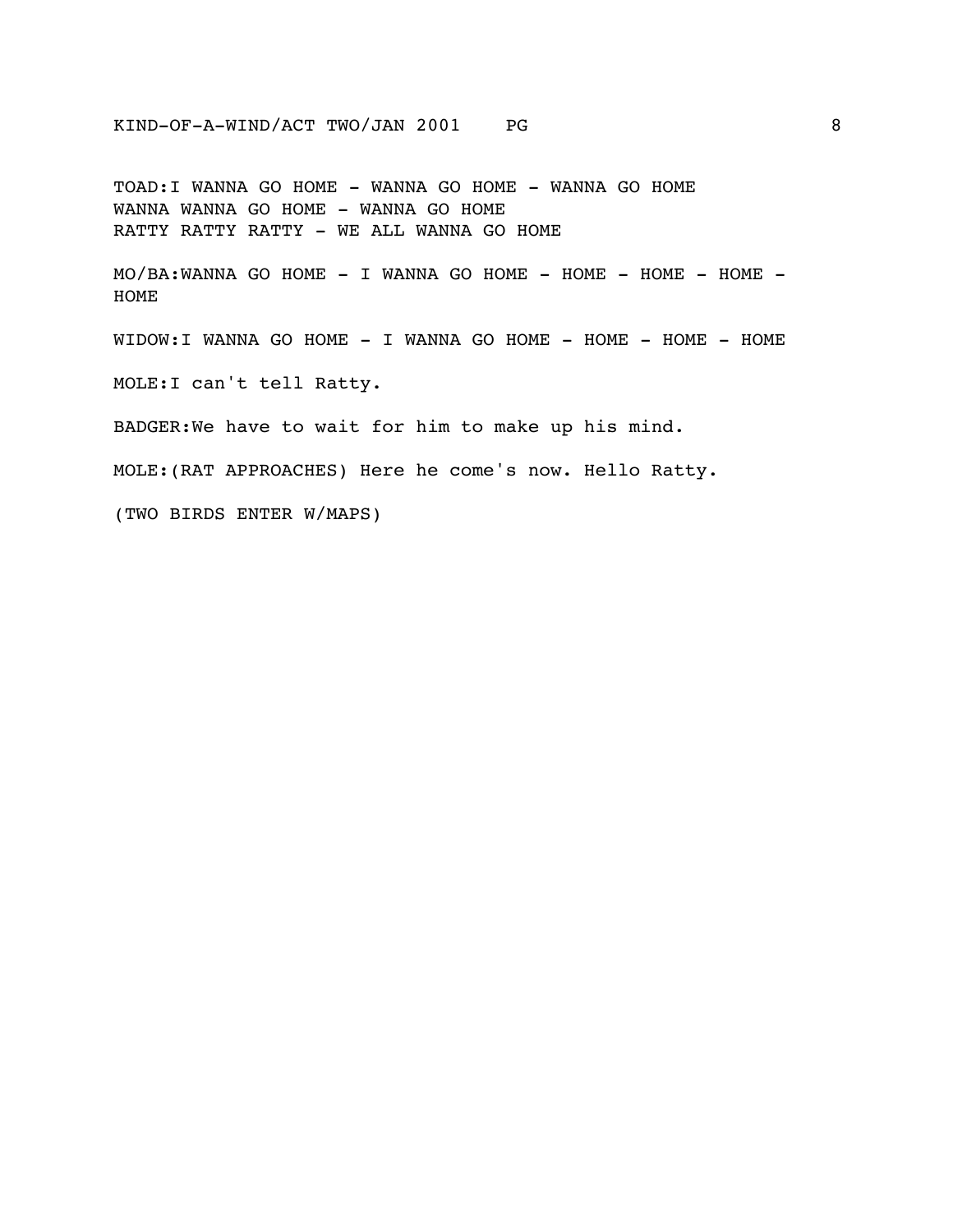TOAD:I WANNA GO HOME - WANNA GO HOME - WANNA GO HOME WANNA WANNA GO HOME - WANNA GO HOME RATTY RATTY RATTY - WE ALL WANNA GO HOME

MO/BA:WANNA GO HOME - I WANNA GO HOME - HOME - HOME - HOME - HOME

WIDOW:I WANNA GO HOME - I WANNA GO HOME - HOME - HOME - HOME

MOLE:I can't tell Ratty.

BADGER:We have to wait for him to make up his mind.

MOLE:(RAT APPROACHES) Here he come's now. Hello Ratty.

(TWO BIRDS ENTER W/MAPS)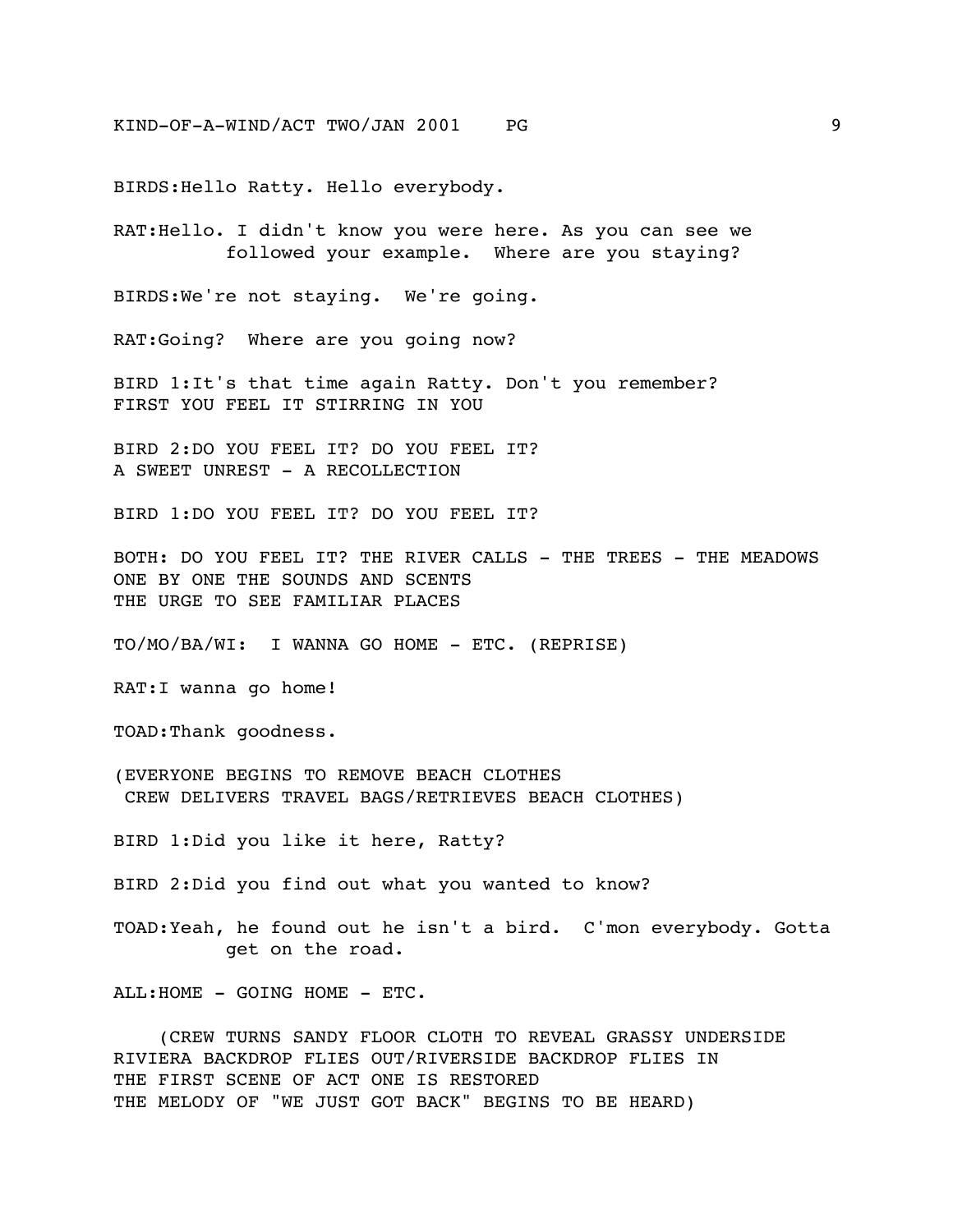BIRDS:Hello Ratty. Hello everybody.

RAT:Hello. I didn't know you were here. As you can see we followed your example. Where are you staying?

BIRDS:We're not staying. We're going.

RAT:Going? Where are you going now?

BIRD 1:It's that time again Ratty. Don't you remember? FIRST YOU FEEL IT STIRRING IN YOU

BIRD 2:DO YOU FEEL IT? DO YOU FEEL IT? A SWEET UNREST - A RECOLLECTION

BIRD 1:DO YOU FEEL IT? DO YOU FEEL IT?

BOTH: DO YOU FEEL IT? THE RIVER CALLS - THE TREES - THE MEADOWS ONE BY ONE THE SOUNDS AND SCENTS THE URGE TO SEE FAMILIAR PLACES

TO/MO/BA/WI: I WANNA GO HOME - ETC. (REPRISE)

RAT:I wanna go home!

TOAD:Thank goodness.

(EVERYONE BEGINS TO REMOVE BEACH CLOTHES CREW DELIVERS TRAVEL BAGS/RETRIEVES BEACH CLOTHES)

BIRD 1:Did you like it here, Ratty?

BIRD 2:Did you find out what you wanted to know?

TOAD:Yeah, he found out he isn't a bird. C'mon everybody. Gotta get on the road.

ALL:HOME - GOING HOME - ETC.

 (CREW TURNS SANDY FLOOR CLOTH TO REVEAL GRASSY UNDERSIDE RIVIERA BACKDROP FLIES OUT/RIVERSIDE BACKDROP FLIES IN THE FIRST SCENE OF ACT ONE IS RESTORED THE MELODY OF "WE JUST GOT BACK" BEGINS TO BE HEARD)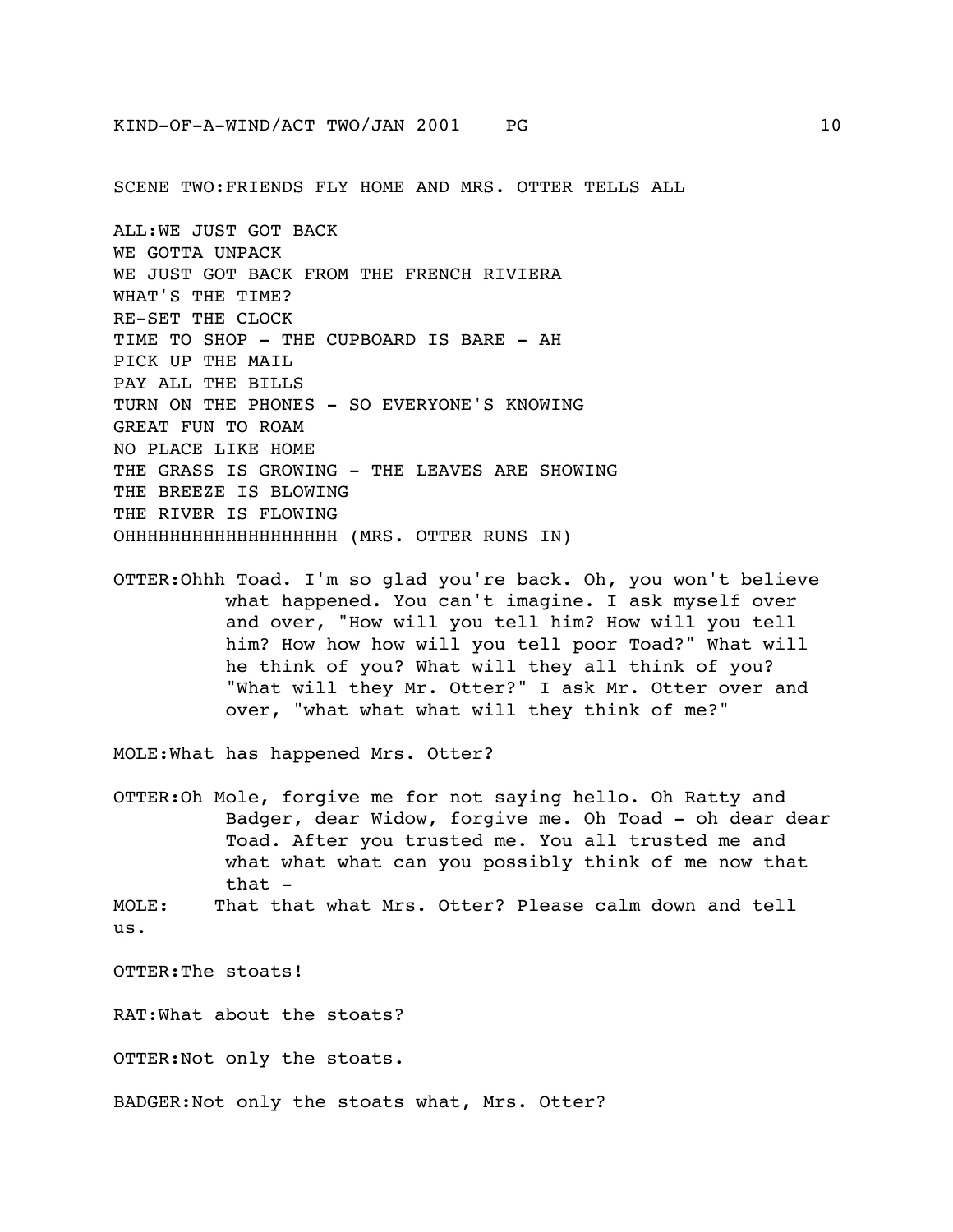SCENE TWO:FRIENDS FLY HOME AND MRS. OTTER TELLS ALL

ALL:WE JUST GOT BACK WE GOTTA UNPACK WE JUST GOT BACK FROM THE FRENCH RIVIERA WHAT'S THE TIME? RE-SET THE CLOCK TIME TO SHOP - THE CUPBOARD IS BARE - AH PICK UP THE MAIL PAY ALL THE BILLS TURN ON THE PHONES - SO EVERYONE'S KNOWING GREAT FUN TO ROAM NO PLACE LIKE HOME THE GRASS IS GROWING - THE LEAVES ARE SHOWING THE BREEZE IS BLOWING THE RIVER IS FLOWING OHHHHHHHHHHHHHHHHHHH (MRS. OTTER RUNS IN)

OTTER:Ohhh Toad. I'm so glad you're back. Oh, you won't believe what happened. You can't imagine. I ask myself over and over, "How will you tell him? How will you tell him? How how how will you tell poor Toad?" What will he think of you? What will they all think of you? "What will they Mr. Otter?" I ask Mr. Otter over and over, "what what what will they think of me?"

MOLE:What has happened Mrs. Otter?

OTTER:Oh Mole, forgive me for not saying hello. Oh Ratty and Badger, dear Widow, forgive me. Oh Toad - oh dear dear Toad. After you trusted me. You all trusted me and what what what can you possibly think of me now that that -

MOLE: That that what Mrs. Otter? Please calm down and tell us.

OTTER:The stoats!

RAT:What about the stoats?

OTTER:Not only the stoats.

BADGER:Not only the stoats what, Mrs. Otter?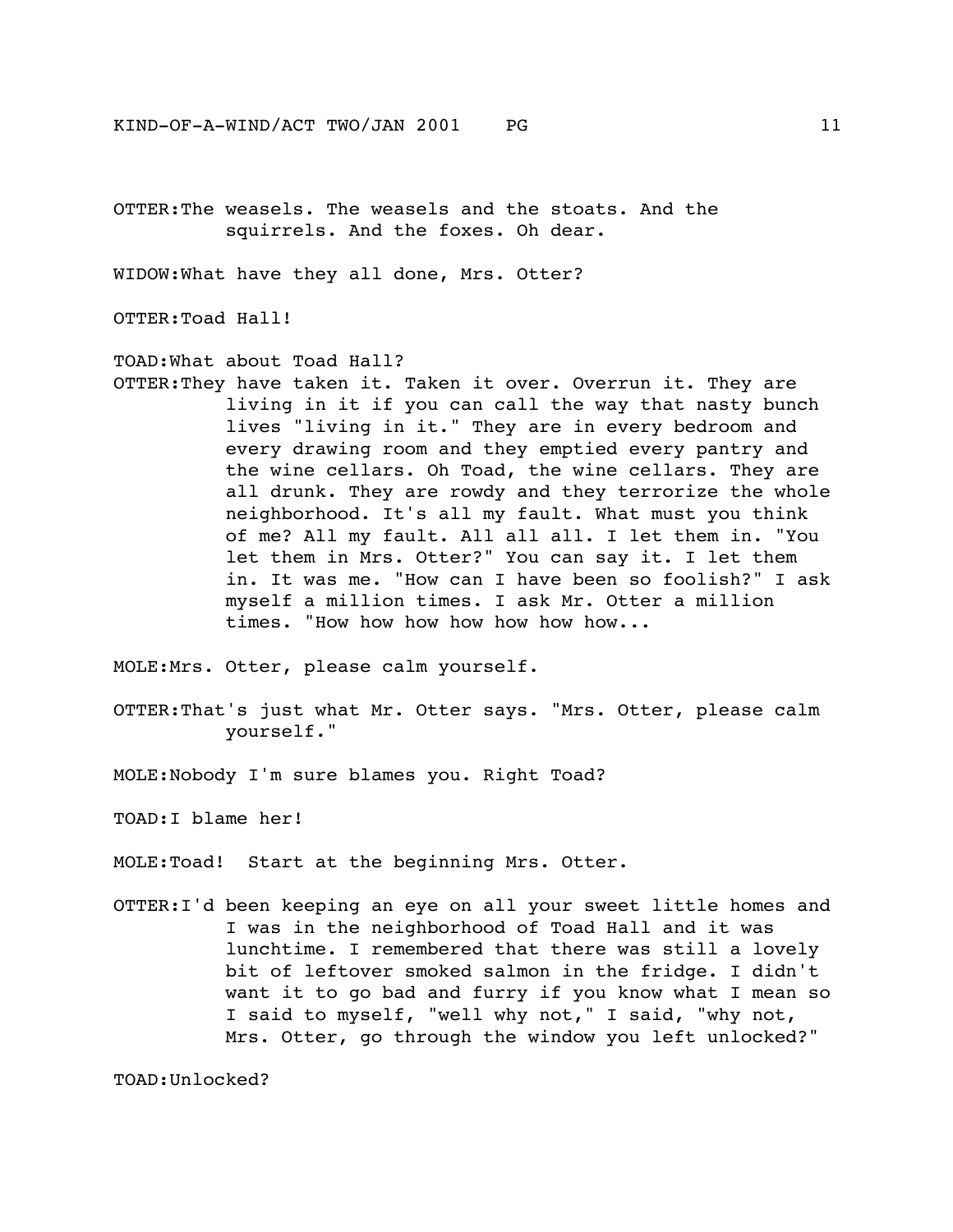OTTER:The weasels. The weasels and the stoats. And the squirrels. And the foxes. Oh dear.

WIDOW:What have they all done, Mrs. Otter?

OTTER:Toad Hall!

TOAD:What about Toad Hall?

OTTER:They have taken it. Taken it over. Overrun it. They are living in it if you can call the way that nasty bunch lives "living in it." They are in every bedroom and every drawing room and they emptied every pantry and the wine cellars. Oh Toad, the wine cellars. They are all drunk. They are rowdy and they terrorize the whole neighborhood. It's all my fault. What must you think of me? All my fault. All all all. I let them in. "You let them in Mrs. Otter?" You can say it. I let them in. It was me. "How can I have been so foolish?" I ask myself a million times. I ask Mr. Otter a million times. "How how how how how how how...

MOLE:Mrs. Otter, please calm yourself.

OTTER:That's just what Mr. Otter says. "Mrs. Otter, please calm yourself."

MOLE:Nobody I'm sure blames you. Right Toad?

TOAD:I blame her!

MOLE:Toad! Start at the beginning Mrs. Otter.

OTTER:I'd been keeping an eye on all your sweet little homes and I was in the neighborhood of Toad Hall and it was lunchtime. I remembered that there was still a lovely bit of leftover smoked salmon in the fridge. I didn't want it to go bad and furry if you know what I mean so I said to myself, "well why not," I said, "why not, Mrs. Otter, go through the window you left unlocked?"

TOAD:Unlocked?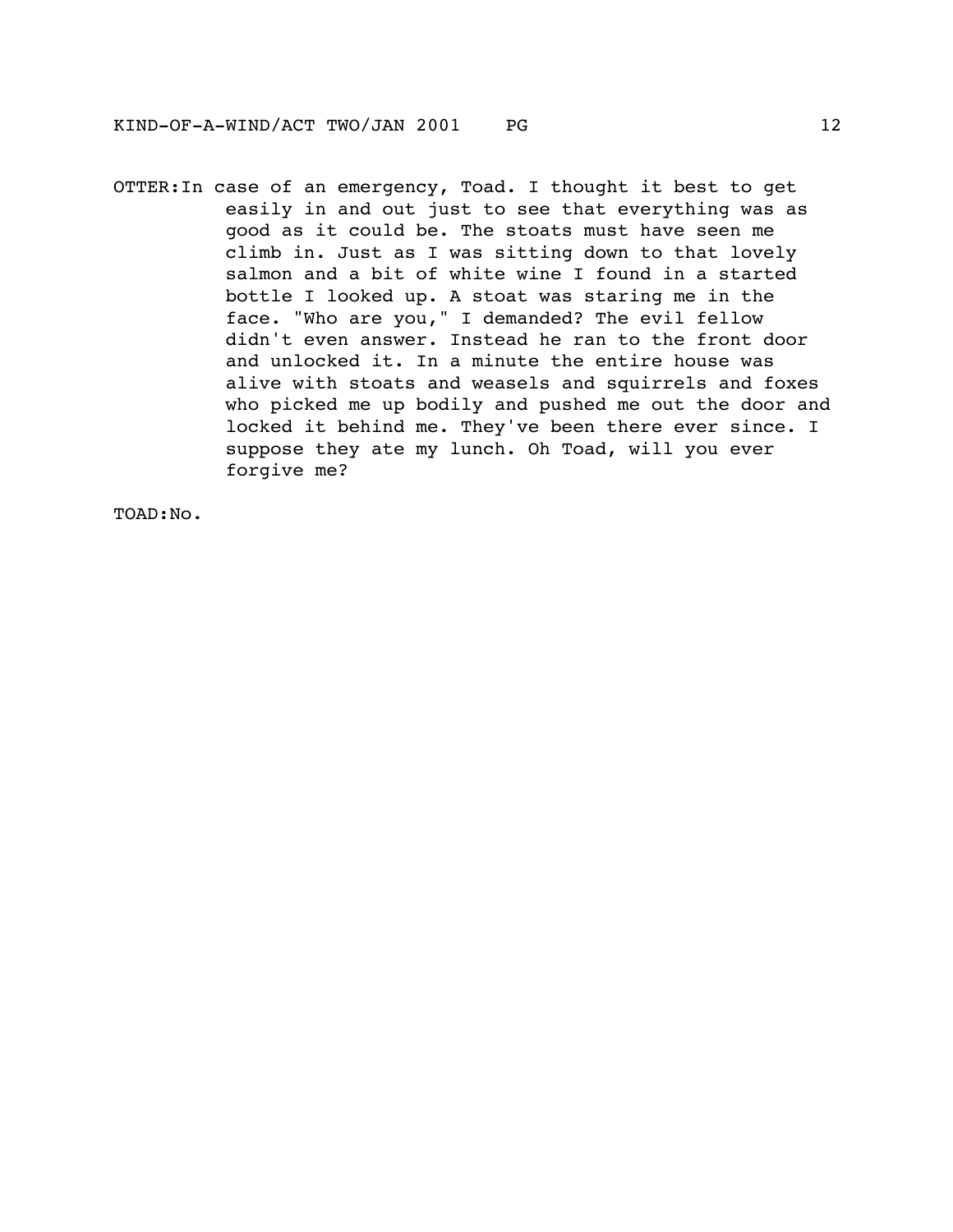OTTER:In case of an emergency, Toad. I thought it best to get easily in and out just to see that everything was as good as it could be. The stoats must have seen me climb in. Just as I was sitting down to that lovely salmon and a bit of white wine I found in a started bottle I looked up. A stoat was staring me in the face. "Who are you," I demanded? The evil fellow didn't even answer. Instead he ran to the front door and unlocked it. In a minute the entire house was alive with stoats and weasels and squirrels and foxes who picked me up bodily and pushed me out the door and locked it behind me. They've been there ever since. I suppose they ate my lunch. Oh Toad, will you ever forgive me?

TOAD:No.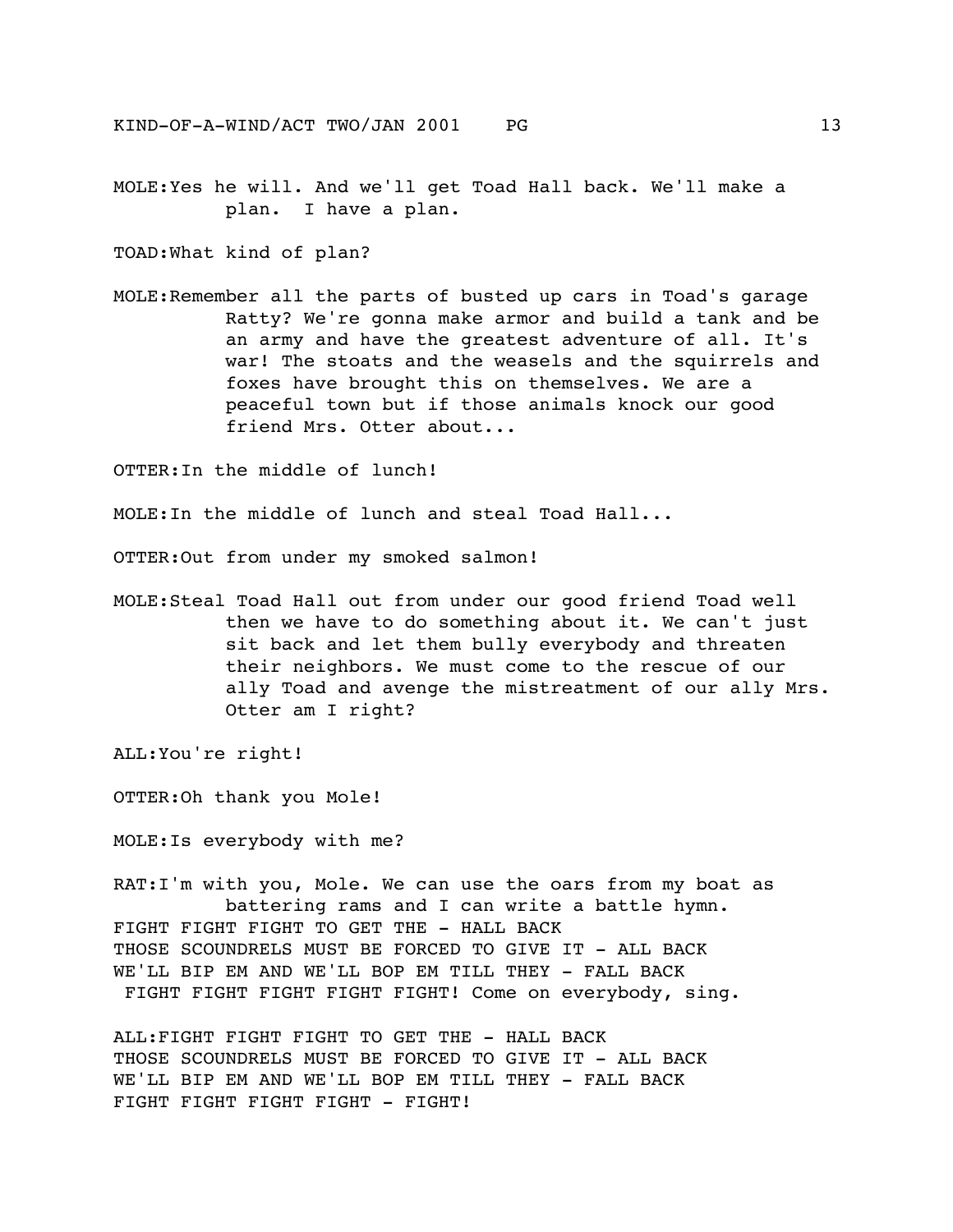MOLE:Yes he will. And we'll get Toad Hall back. We'll make a plan. I have a plan.

TOAD:What kind of plan?

MOLE:Remember all the parts of busted up cars in Toad's garage Ratty? We're gonna make armor and build a tank and be an army and have the greatest adventure of all. It's war! The stoats and the weasels and the squirrels and foxes have brought this on themselves. We are a peaceful town but if those animals knock our good friend Mrs. Otter about...

OTTER:In the middle of lunch!

MOLE:In the middle of lunch and steal Toad Hall...

OTTER:Out from under my smoked salmon!

MOLE:Steal Toad Hall out from under our good friend Toad well then we have to do something about it. We can't just sit back and let them bully everybody and threaten their neighbors. We must come to the rescue of our ally Toad and avenge the mistreatment of our ally Mrs. Otter am I right?

ALL:You're right!

OTTER:Oh thank you Mole!

MOLE:Is everybody with me?

RAT:I'm with you, Mole. We can use the oars from my boat as battering rams and I can write a battle hymn. FIGHT FIGHT FIGHT TO GET THE - HALL BACK THOSE SCOUNDRELS MUST BE FORCED TO GIVE IT - ALL BACK WE'LL BIP EM AND WE'LL BOP EM TILL THEY - FALL BACK FIGHT FIGHT FIGHT FIGHT FIGHT! Come on everybody, sing.

ALL:FIGHT FIGHT FIGHT TO GET THE - HALL BACK THOSE SCOUNDRELS MUST BE FORCED TO GIVE IT - ALL BACK WE'LL BIP EM AND WE'LL BOP EM TILL THEY - FALL BACK FIGHT FIGHT FIGHT FIGHT - FIGHT!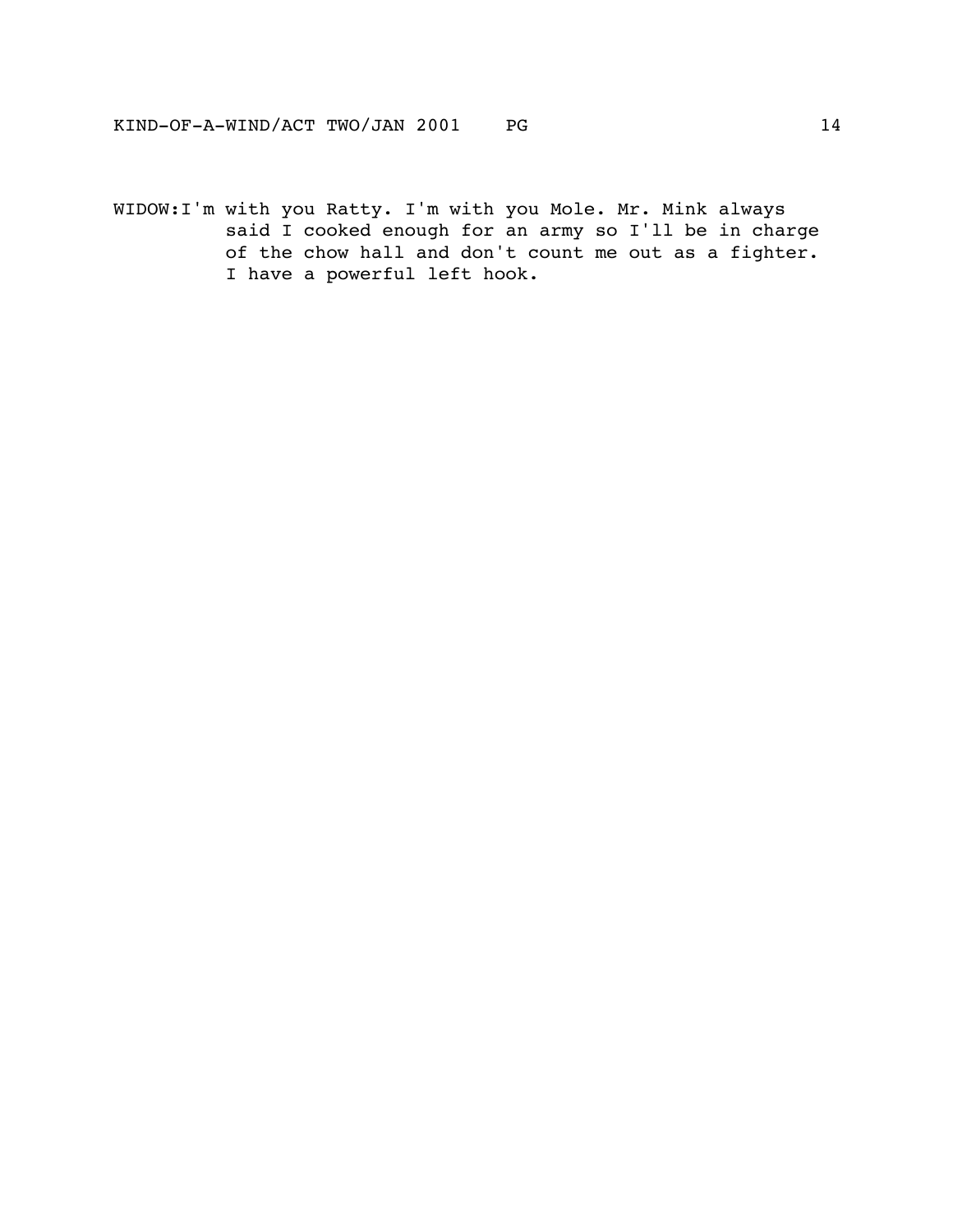WIDOW:I'm with you Ratty. I'm with you Mole. Mr. Mink always said I cooked enough for an army so I'll be in charge of the chow hall and don't count me out as a fighter. I have a powerful left hook.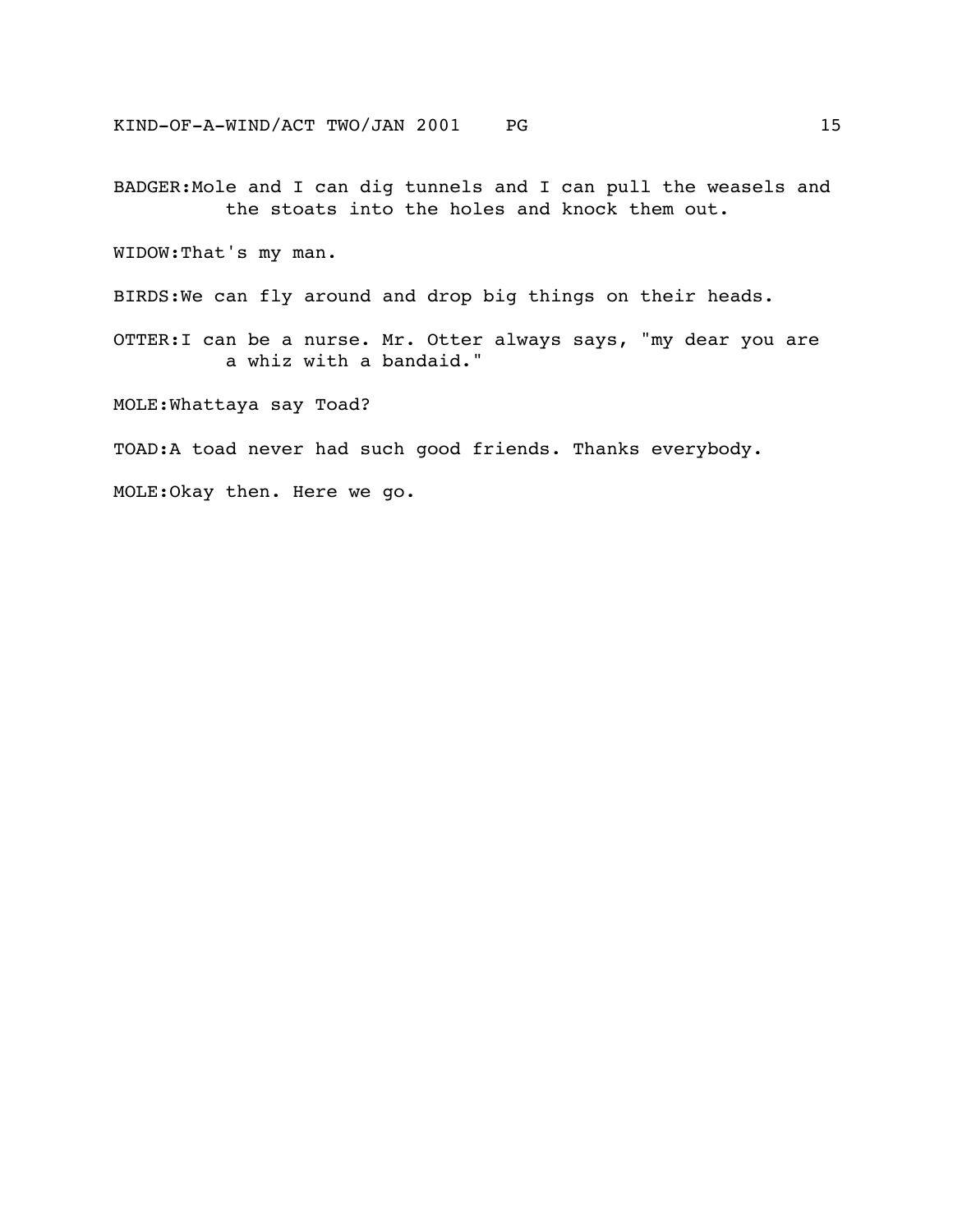BADGER:Mole and I can dig tunnels and I can pull the weasels and the stoats into the holes and knock them out.

WIDOW:That's my man.

BIRDS:We can fly around and drop big things on their heads.

OTTER:I can be a nurse. Mr. Otter always says, "my dear you are a whiz with a bandaid."

MOLE:Whattaya say Toad?

TOAD:A toad never had such good friends. Thanks everybody.

MOLE:Okay then. Here we go.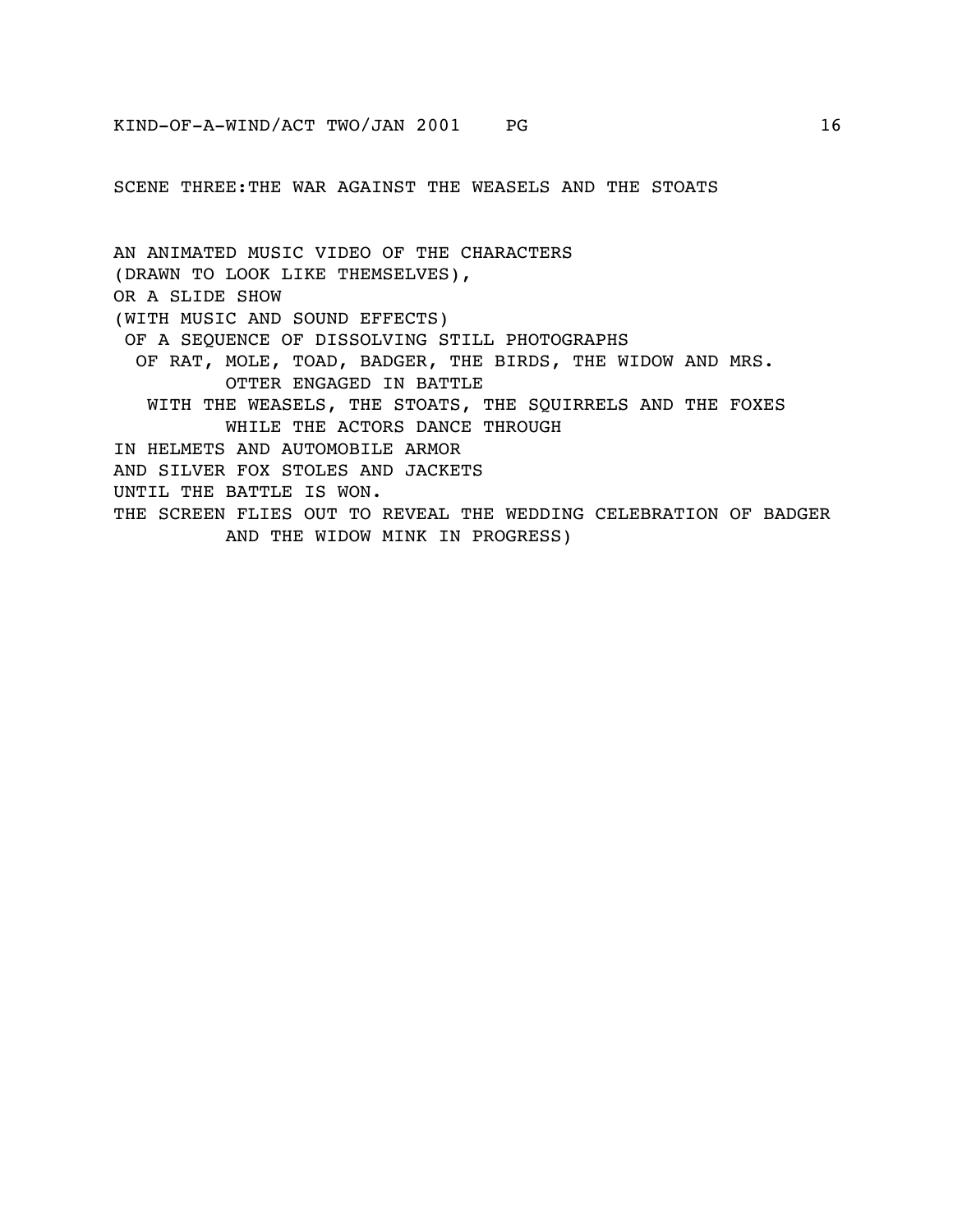SCENE THREE:THE WAR AGAINST THE WEASELS AND THE STOATS

AN ANIMATED MUSIC VIDEO OF THE CHARACTERS (DRAWN TO LOOK LIKE THEMSELVES), OR A SLIDE SHOW (WITH MUSIC AND SOUND EFFECTS) OF A SEQUENCE OF DISSOLVING STILL PHOTOGRAPHS OF RAT, MOLE, TOAD, BADGER, THE BIRDS, THE WIDOW AND MRS. OTTER ENGAGED IN BATTLE WITH THE WEASELS, THE STOATS, THE SQUIRRELS AND THE FOXES WHILE THE ACTORS DANCE THROUGH IN HELMETS AND AUTOMOBILE ARMOR AND SILVER FOX STOLES AND JACKETS UNTIL THE BATTLE IS WON. THE SCREEN FLIES OUT TO REVEAL THE WEDDING CELEBRATION OF BADGER AND THE WIDOW MINK IN PROGRESS)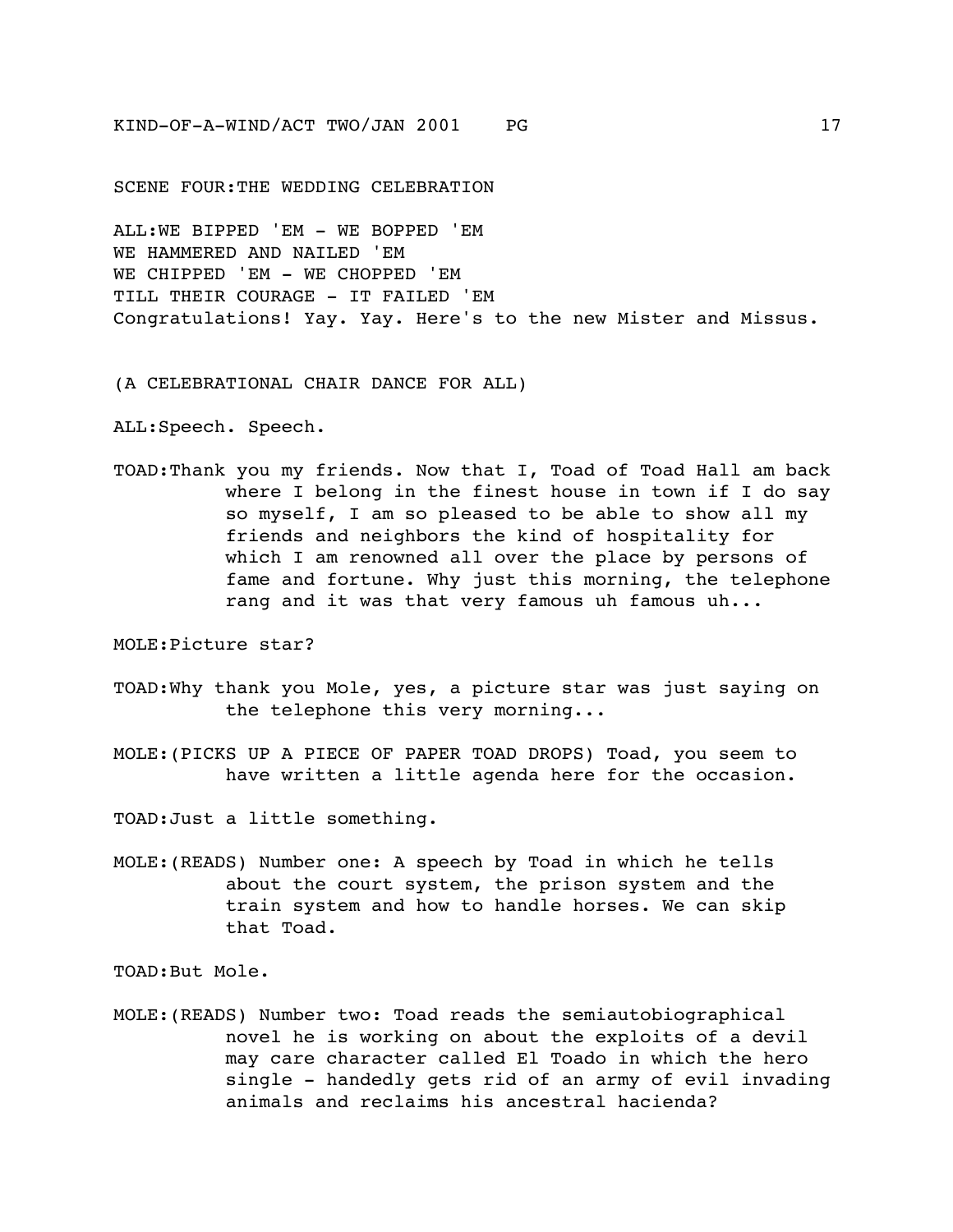SCENE FOUR:THE WEDDING CELEBRATION

ALL:WE BIPPED 'EM - WE BOPPED 'EM WE HAMMERED AND NAILED 'EM WE CHIPPED 'EM - WE CHOPPED 'EM TILL THEIR COURAGE - IT FAILED 'EM Congratulations! Yay. Yay. Here's to the new Mister and Missus.

(A CELEBRATIONAL CHAIR DANCE FOR ALL)

ALL:Speech. Speech.

TOAD:Thank you my friends. Now that I, Toad of Toad Hall am back where I belong in the finest house in town if I do say so myself, I am so pleased to be able to show all my friends and neighbors the kind of hospitality for which I am renowned all over the place by persons of fame and fortune. Why just this morning, the telephone rang and it was that very famous uh famous uh...

MOLE:Picture star?

- TOAD:Why thank you Mole, yes, a picture star was just saying on the telephone this very morning...
- MOLE:(PICKS UP A PIECE OF PAPER TOAD DROPS) Toad, you seem to have written a little agenda here for the occasion.

TOAD:Just a little something.

MOLE:(READS) Number one: A speech by Toad in which he tells about the court system, the prison system and the train system and how to handle horses. We can skip that Toad.

TOAD:But Mole.

MOLE:(READS) Number two: Toad reads the semiautobiographical novel he is working on about the exploits of a devil may care character called El Toado in which the hero single - handedly gets rid of an army of evil invading animals and reclaims his ancestral hacienda?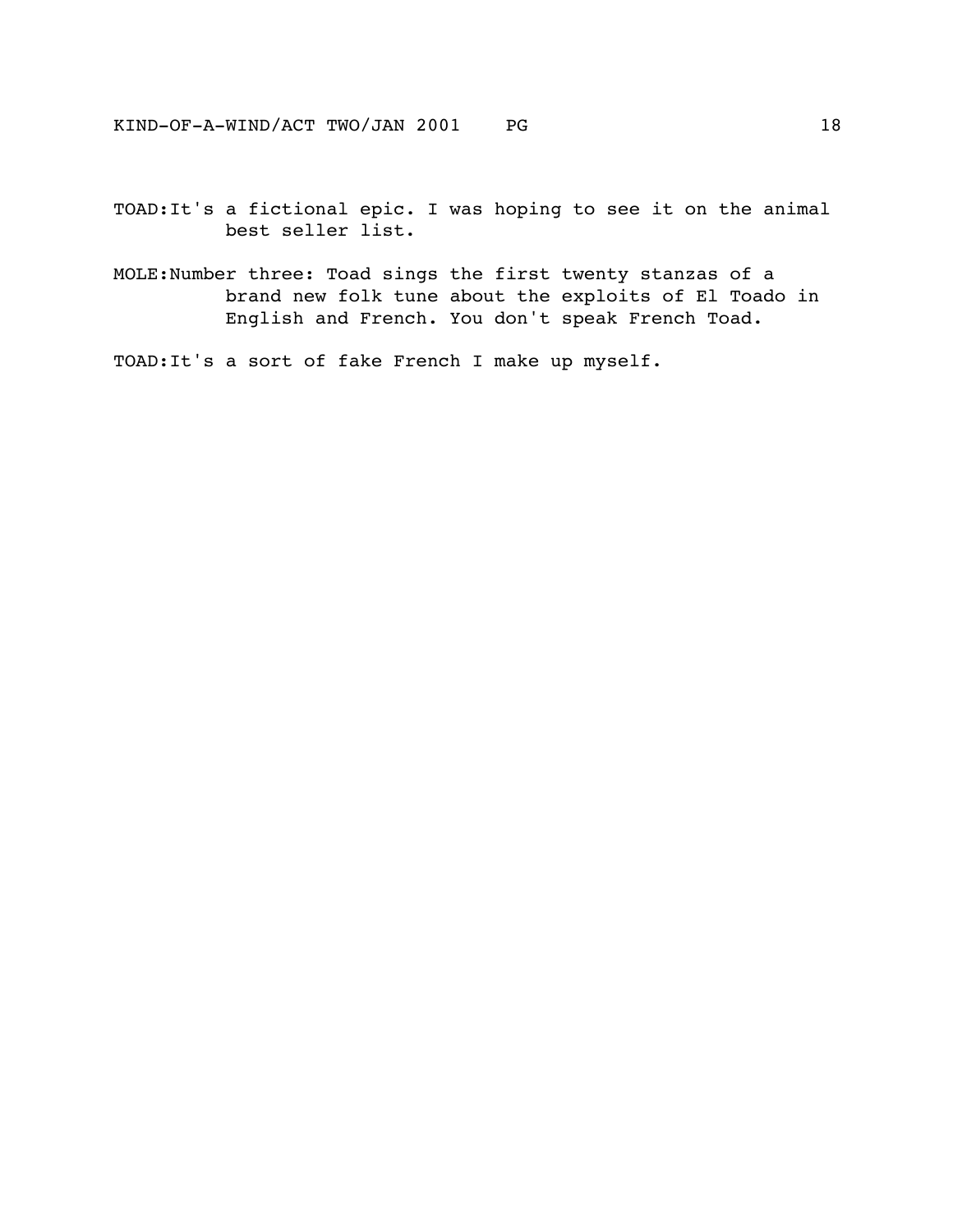TOAD:It's a fictional epic. I was hoping to see it on the animal best seller list.

MOLE:Number three: Toad sings the first twenty stanzas of a brand new folk tune about the exploits of El Toado in English and French. You don't speak French Toad.

TOAD:It's a sort of fake French I make up myself.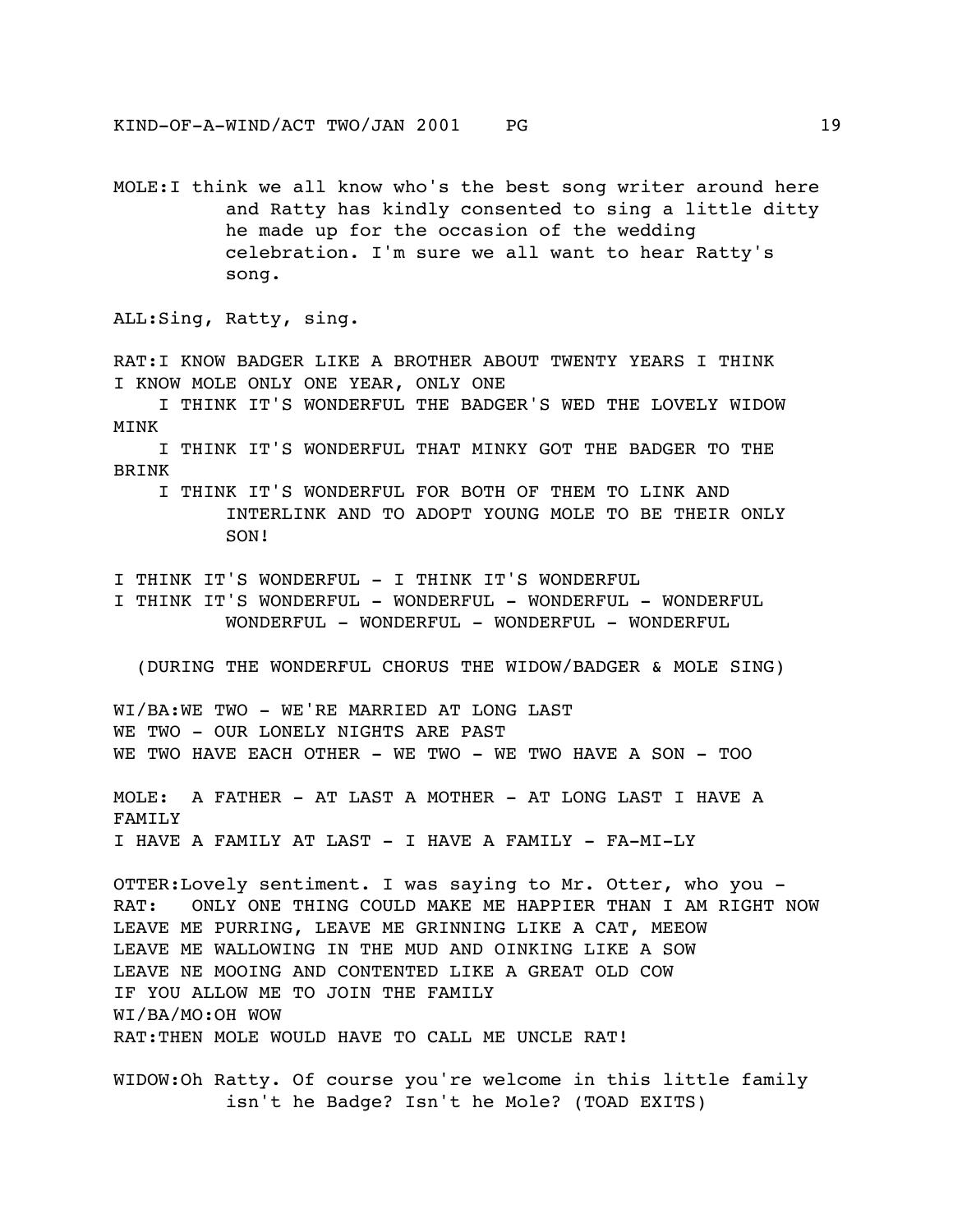MOLE:I think we all know who's the best song writer around here and Ratty has kindly consented to sing a little ditty he made up for the occasion of the wedding celebration. I'm sure we all want to hear Ratty's song.

ALL:Sing, Ratty, sing.

RAT:I KNOW BADGER LIKE A BROTHER ABOUT TWENTY YEARS I THINK I KNOW MOLE ONLY ONE YEAR, ONLY ONE

 I THINK IT'S WONDERFUL THE BADGER'S WED THE LOVELY WIDOW MINK

 I THINK IT'S WONDERFUL THAT MINKY GOT THE BADGER TO THE BRINK

 I THINK IT'S WONDERFUL FOR BOTH OF THEM TO LINK AND INTERLINK AND TO ADOPT YOUNG MOLE TO BE THEIR ONLY SON!

I THINK IT'S WONDERFUL - I THINK IT'S WONDERFUL

I THINK IT'S WONDERFUL - WONDERFUL - WONDERFUL - WONDERFUL WONDERFUL - WONDERFUL - WONDERFUL - WONDERFUL

(DURING THE WONDERFUL CHORUS THE WIDOW/BADGER & MOLE SING)

WI/BA:WE TWO - WE'RE MARRIED AT LONG LAST WE TWO - OUR LONELY NIGHTS ARE PAST WE TWO HAVE EACH OTHER - WE TWO - WE TWO HAVE A SON - TOO

MOLE: A FATHER - AT LAST A MOTHER - AT LONG LAST I HAVE A FAMILY I HAVE A FAMILY AT LAST - I HAVE A FAMILY - FA-MI-LY

OTTER:Lovely sentiment. I was saying to Mr. Otter, who you - RAT: ONLY ONE THING COULD MAKE ME HAPPIER THAN I AM RIGHT NOW LEAVE ME PURRING, LEAVE ME GRINNING LIKE A CAT, MEEOW LEAVE ME WALLOWING IN THE MUD AND OINKING LIKE A SOW LEAVE NE MOOING AND CONTENTED LIKE A GREAT OLD COW IF YOU ALLOW ME TO JOIN THE FAMILY WI/BA/MO:OH WOW RAT:THEN MOLE WOULD HAVE TO CALL ME UNCLE RAT!

WIDOW:Oh Ratty. Of course you're welcome in this little family isn't he Badge? Isn't he Mole? (TOAD EXITS)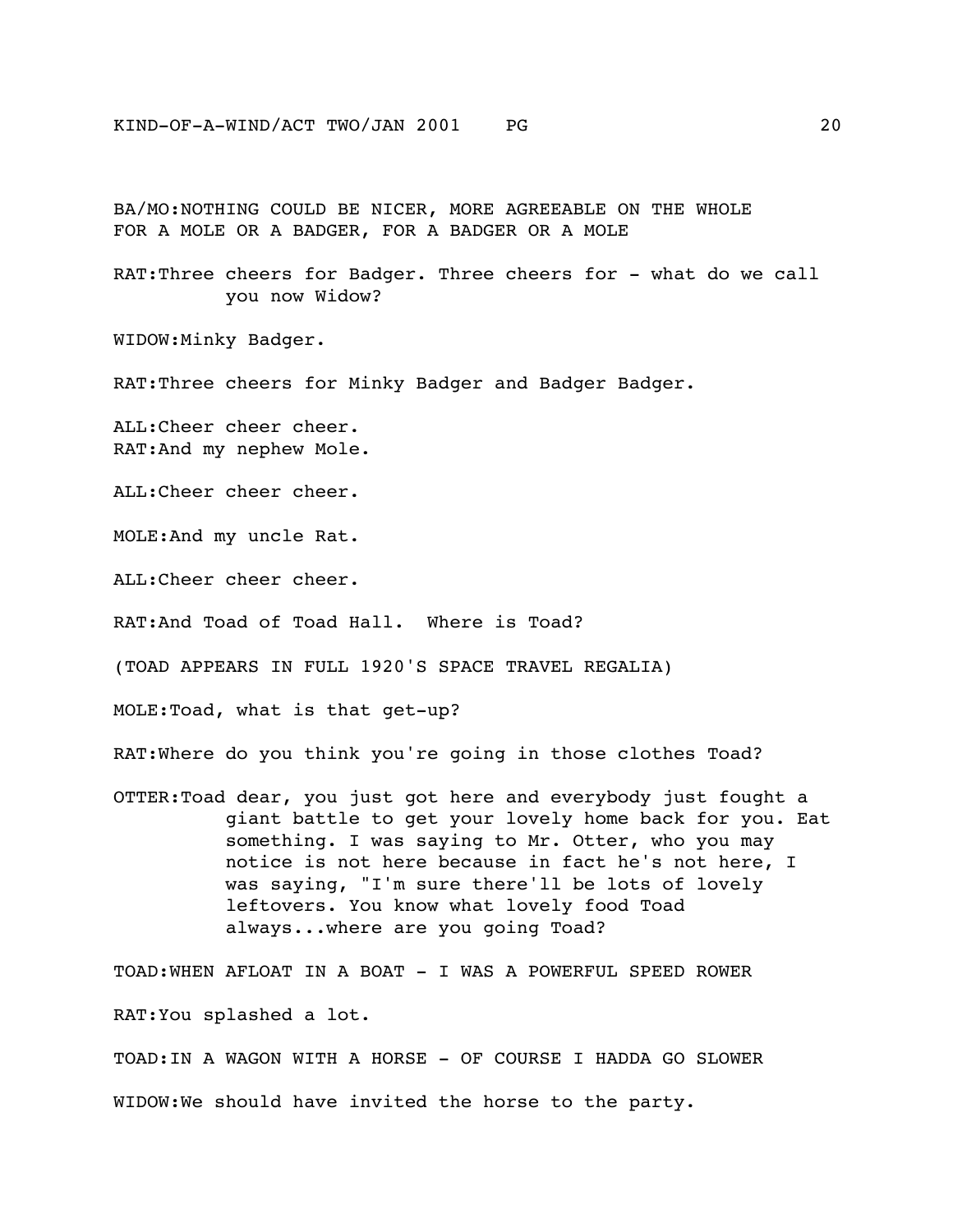BA/MO:NOTHING COULD BE NICER, MORE AGREEABLE ON THE WHOLE FOR A MOLE OR A BADGER, FOR A BADGER OR A MOLE

RAT:Three cheers for Badger. Three cheers for - what do we call you now Widow?

WIDOW:Minky Badger.

RAT:Three cheers for Minky Badger and Badger Badger.

ALL:Cheer cheer cheer. RAT:And my nephew Mole.

ALL:Cheer cheer cheer.

MOLE:And my uncle Rat.

ALL:Cheer cheer cheer.

RAT:And Toad of Toad Hall. Where is Toad?

(TOAD APPEARS IN FULL 1920'S SPACE TRAVEL REGALIA)

MOLE:Toad, what is that get-up?

RAT:Where do you think you're going in those clothes Toad?

OTTER:Toad dear, you just got here and everybody just fought a giant battle to get your lovely home back for you. Eat something. I was saying to Mr. Otter, who you may notice is not here because in fact he's not here, I was saying, "I'm sure there'll be lots of lovely leftovers. You know what lovely food Toad always...where are you going Toad?

TOAD:WHEN AFLOAT IN A BOAT - I WAS A POWERFUL SPEED ROWER RAT:You splashed a lot. TOAD:IN A WAGON WITH A HORSE - OF COURSE I HADDA GO SLOWER

WIDOW:We should have invited the horse to the party.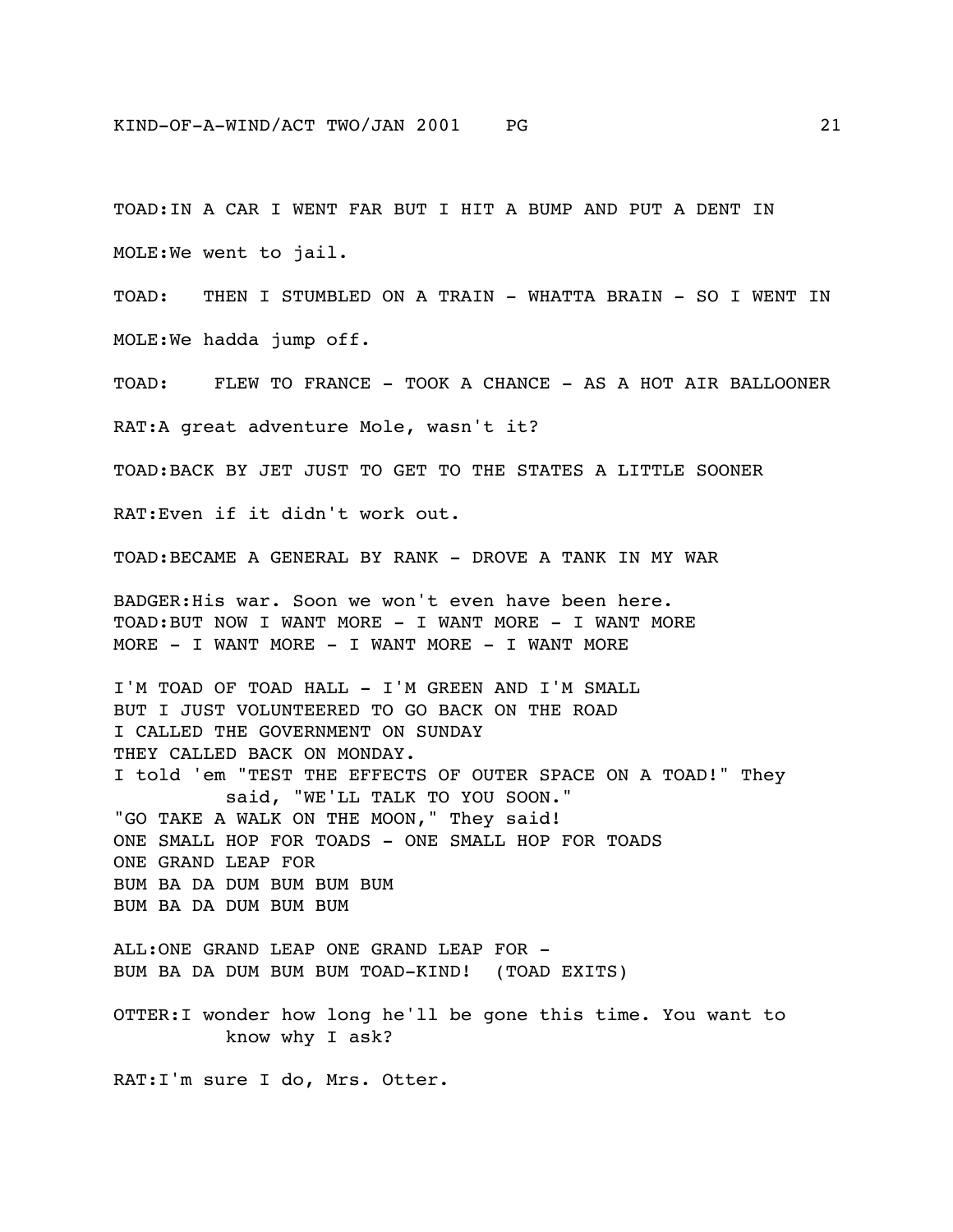TOAD:IN A CAR I WENT FAR BUT I HIT A BUMP AND PUT A DENT IN MOLE:We went to jail. TOAD: THEN I STUMBLED ON A TRAIN - WHATTA BRAIN - SO I WENT IN MOLE:We hadda jump off. TOAD: FLEW TO FRANCE - TOOK A CHANCE - AS A HOT AIR BALLOONER RAT:A great adventure Mole, wasn't it? TOAD:BACK BY JET JUST TO GET TO THE STATES A LITTLE SOONER RAT:Even if it didn't work out. TOAD:BECAME A GENERAL BY RANK - DROVE A TANK IN MY WAR BADGER:His war. Soon we won't even have been here. TOAD:BUT NOW I WANT MORE - I WANT MORE - I WANT MORE MORE - I WANT MORE - I WANT MORE - I WANT MORE I'M TOAD OF TOAD HALL - I'M GREEN AND I'M SMALL BUT I JUST VOLUNTEERED TO GO BACK ON THE ROAD I CALLED THE GOVERNMENT ON SUNDAY THEY CALLED BACK ON MONDAY. I told 'em "TEST THE EFFECTS OF OUTER SPACE ON A TOAD!" They said, "WE'LL TALK TO YOU SOON." "GO TAKE A WALK ON THE MOON," They said! ONE SMALL HOP FOR TOADS - ONE SMALL HOP FOR TOADS ONE GRAND LEAP FOR BUM BA DA DUM BUM BUM BUM BUM BA DA DUM BUM BUM ALL:ONE GRAND LEAP ONE GRAND LEAP FOR - BUM BA DA DUM BUM BUM TOAD-KIND! (TOAD EXITS) OTTER:I wonder how long he'll be gone this time. You want to know why I ask?

RAT:I'm sure I do, Mrs. Otter.